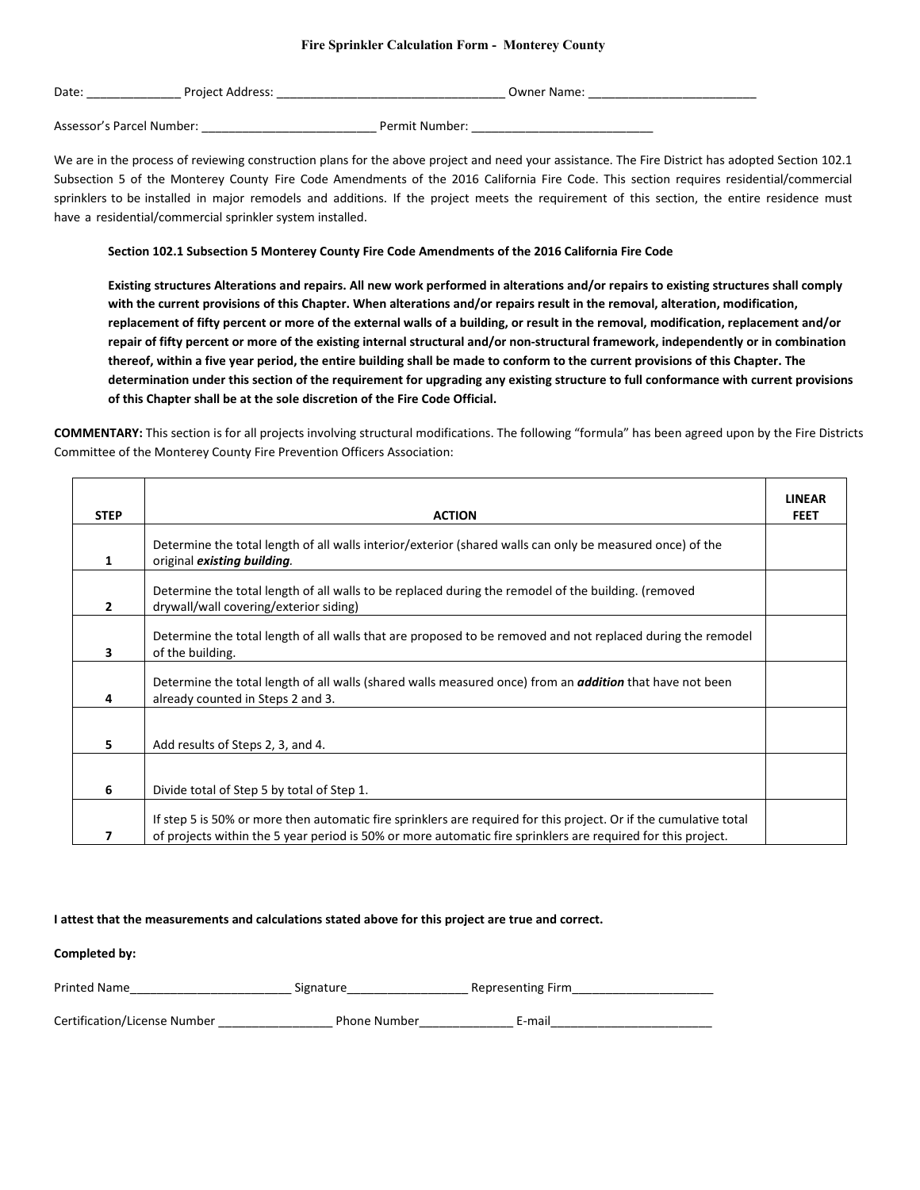## **Fire Sprinkler Calculation Form - Monterey County**

| Date | Project<br>ш<br>A01<br>. | Jwner<br>-Name |
|------|--------------------------|----------------|
|      |                          |                |

Assessor's Parcel Number: <br>
Permit Number:

We are in the process of reviewing construction plans for the above project and need your assistance. The Fire District has adopted Section 102.1 Subsection 5 of the Monterey County Fire Code Amendments of the 2016 California Fire Code. This section requires residential/commercial sprinklers to be installed in major remodels and additions. If the project meets the requirement of this section, the entire residence must have a residential/commercial sprinkler system installed.

## **Section 102.1 Subsection 5 Monterey County Fire Code Amendments of the 2016 California Fire Code**

**Existing structures Alterations and repairs. All new work performed in alterations and/or repairs to existing structures shall comply with the current provisions of this Chapter. When alterations and/or repairs result in the removal, alteration, modification, replacement of fifty percent or more of the external walls of a building, or result in the removal, modification, replacement and/or repair of fifty percent or more of the existing internal structural and/or non-structural framework, independently or in combination thereof, within a five year period, the entire building shall be made to conform to the current provisions of this Chapter. The determination under this section of the requirement for upgrading any existing structure to full conformance with current provisions of this Chapter shall be at the sole discretion of the Fire Code Official.**

**COMMENTARY:** This section is for all projects involving structural modifications. The following "formula" has been agreed upon by the Fire Districts Committee of the Monterey County Fire Prevention Officers Association:

| <b>STEP</b>  | <b>ACTION</b>                                                                                                                                                                                                                     | <b>LINEAR</b><br><b>FEET</b> |
|--------------|-----------------------------------------------------------------------------------------------------------------------------------------------------------------------------------------------------------------------------------|------------------------------|
| 1            | Determine the total length of all walls interior/exterior (shared walls can only be measured once) of the<br>original existing building.                                                                                          |                              |
| $\mathbf{2}$ | Determine the total length of all walls to be replaced during the remodel of the building. (removed<br>drywall/wall covering/exterior siding)                                                                                     |                              |
| 3            | Determine the total length of all walls that are proposed to be removed and not replaced during the remodel<br>of the building.                                                                                                   |                              |
| 4            | Determine the total length of all walls (shared walls measured once) from an <b>addition</b> that have not been<br>already counted in Steps 2 and 3.                                                                              |                              |
| 5.           | Add results of Steps 2, 3, and 4.                                                                                                                                                                                                 |                              |
| 6            | Divide total of Step 5 by total of Step 1.                                                                                                                                                                                        |                              |
|              | If step 5 is 50% or more then automatic fire sprinklers are required for this project. Or if the cumulative total<br>of projects within the 5 year period is 50% or more automatic fire sprinklers are required for this project. |                              |

## **I attest that the measurements and calculations stated above for this project are true and correct.**

**Completed by:**

| <b>Printed Name</b>          | Signature           | Representing Firm |  |
|------------------------------|---------------------|-------------------|--|
| Certification/License Number | <b>Phone Number</b> | E-mail            |  |